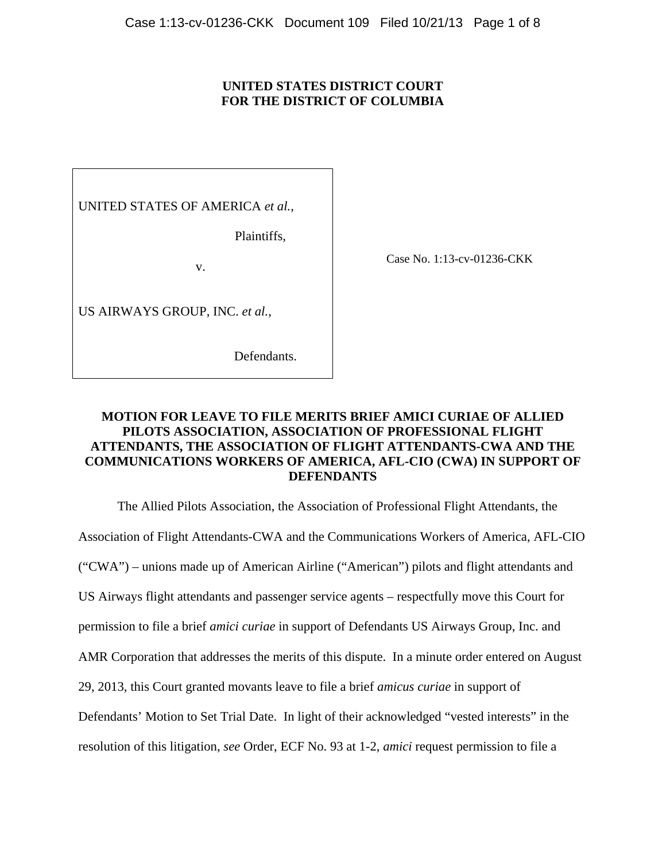### **UNITED STATES DISTRICT COURT FOR THE DISTRICT OF COLUMBIA**

UNITED STATES OF AMERICA *et al.*,

Plaintiffs,

v.

US AIRWAYS GROUP, INC. *et al.*,

Defendants.

Case No. 1:13-cv-01236-CKK

# **MOTION FOR LEAVE TO FILE MERITS BRIEF AMICI CURIAE OF ALLIED PILOTS ASSOCIATION, ASSOCIATION OF PROFESSIONAL FLIGHT ATTENDANTS, THE ASSOCIATION OF FLIGHT ATTENDANTS-CWA AND THE COMMUNICATIONS WORKERS OF AMERICA, AFL-CIO (CWA) IN SUPPORT OF DEFENDANTS**

 The Allied Pilots Association, the Association of Professional Flight Attendants, the Association of Flight Attendants-CWA and the Communications Workers of America, AFL-CIO ("CWA") – unions made up of American Airline ("American") pilots and flight attendants and US Airways flight attendants and passenger service agents – respectfully move this Court for permission to file a brief *amici curiae* in support of Defendants US Airways Group, Inc. and AMR Corporation that addresses the merits of this dispute. In a minute order entered on August 29, 2013, this Court granted movants leave to file a brief *amicus curiae* in support of Defendants' Motion to Set Trial Date. In light of their acknowledged "vested interests" in the resolution of this litigation, *see* Order, ECF No. 93 at 1-2, *amici* request permission to file a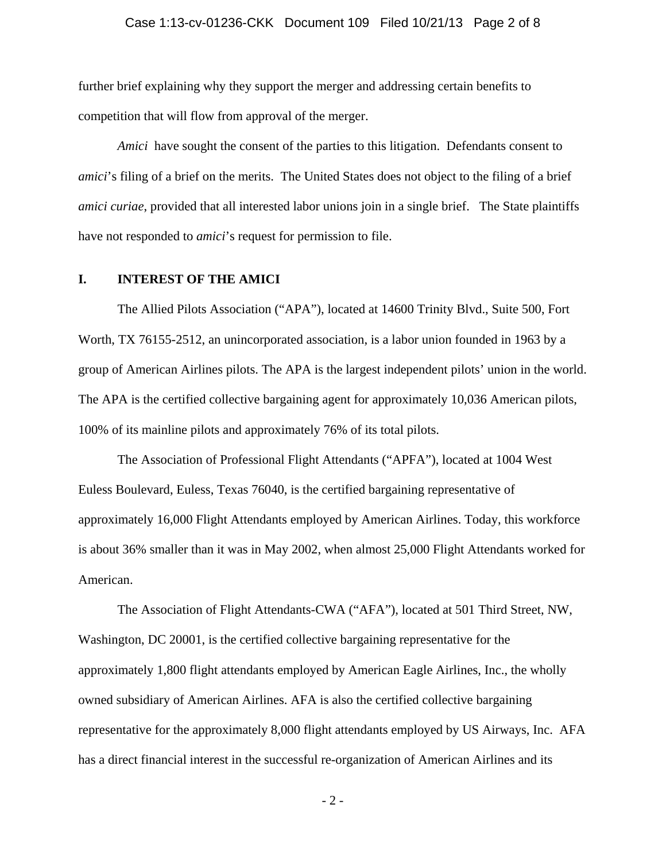#### Case 1:13-cv-01236-CKK Document 109 Filed 10/21/13 Page 2 of 8

further brief explaining why they support the merger and addressing certain benefits to competition that will flow from approval of the merger.

*Amici* have sought the consent of the parties to this litigation. Defendants consent to *amici*'s filing of a brief on the merits. The United States does not object to the filing of a brief *amici curiae*, provided that all interested labor unions join in a single brief. The State plaintiffs have not responded to *amici*'s request for permission to file.

#### **I. INTEREST OF THE AMICI**

 The Allied Pilots Association ("APA"), located at 14600 Trinity Blvd., Suite 500, Fort Worth, TX 76155-2512, an unincorporated association, is a labor union founded in 1963 by a group of American Airlines pilots. The APA is the largest independent pilots' union in the world. The APA is the certified collective bargaining agent for approximately 10,036 American pilots, 100% of its mainline pilots and approximately 76% of its total pilots.

 The Association of Professional Flight Attendants ("APFA"), located at 1004 West Euless Boulevard, Euless, Texas 76040, is the certified bargaining representative of approximately 16,000 Flight Attendants employed by American Airlines. Today, this workforce is about 36% smaller than it was in May 2002, when almost 25,000 Flight Attendants worked for American.

 The Association of Flight Attendants-CWA ("AFA"), located at 501 Third Street, NW, Washington, DC 20001, is the certified collective bargaining representative for the approximately 1,800 flight attendants employed by American Eagle Airlines, Inc., the wholly owned subsidiary of American Airlines. AFA is also the certified collective bargaining representative for the approximately 8,000 flight attendants employed by US Airways, Inc. AFA has a direct financial interest in the successful re-organization of American Airlines and its

- 2 -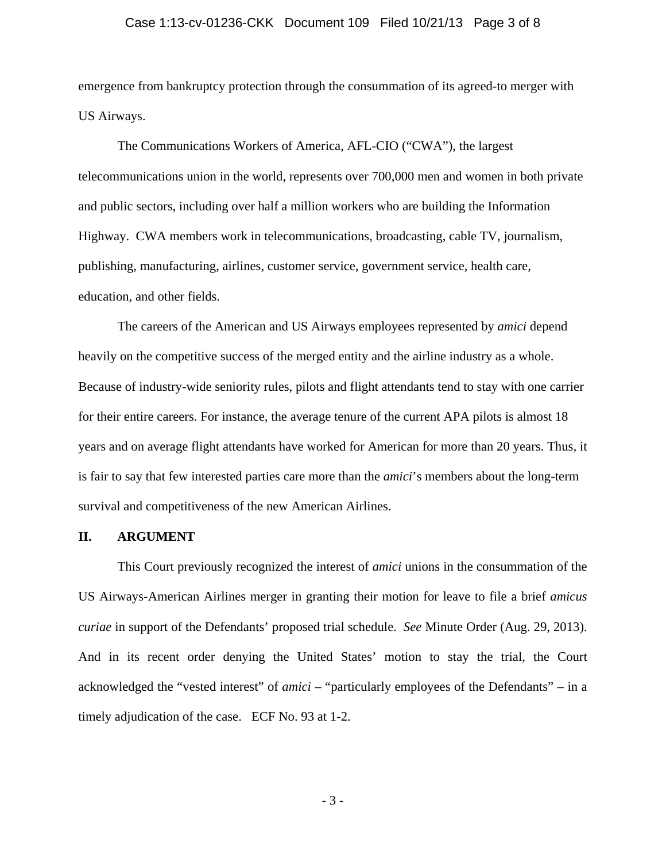#### Case 1:13-cv-01236-CKK Document 109 Filed 10/21/13 Page 3 of 8

emergence from bankruptcy protection through the consummation of its agreed-to merger with US Airways.

 The Communications Workers of America, AFL-CIO ("CWA"), the largest telecommunications union in the world, represents over 700,000 men and women in both private and public sectors, including over half a million workers who are building the Information Highway. CWA members work in telecommunications, broadcasting, cable TV, journalism, publishing, manufacturing, airlines, customer service, government service, health care, education, and other fields.

 The careers of the American and US Airways employees represented by *amici* depend heavily on the competitive success of the merged entity and the airline industry as a whole. Because of industry-wide seniority rules, pilots and flight attendants tend to stay with one carrier for their entire careers. For instance, the average tenure of the current APA pilots is almost 18 years and on average flight attendants have worked for American for more than 20 years. Thus, it is fair to say that few interested parties care more than the *amici*'s members about the long-term survival and competitiveness of the new American Airlines.

### **II. ARGUMENT**

 This Court previously recognized the interest of *amici* unions in the consummation of the US Airways-American Airlines merger in granting their motion for leave to file a brief *amicus curiae* in support of the Defendants' proposed trial schedule. *See* Minute Order (Aug. 29, 2013). And in its recent order denying the United States' motion to stay the trial, the Court acknowledged the "vested interest" of *amici* – "particularly employees of the Defendants" – in a timely adjudication of the case. ECF No. 93 at 1-2.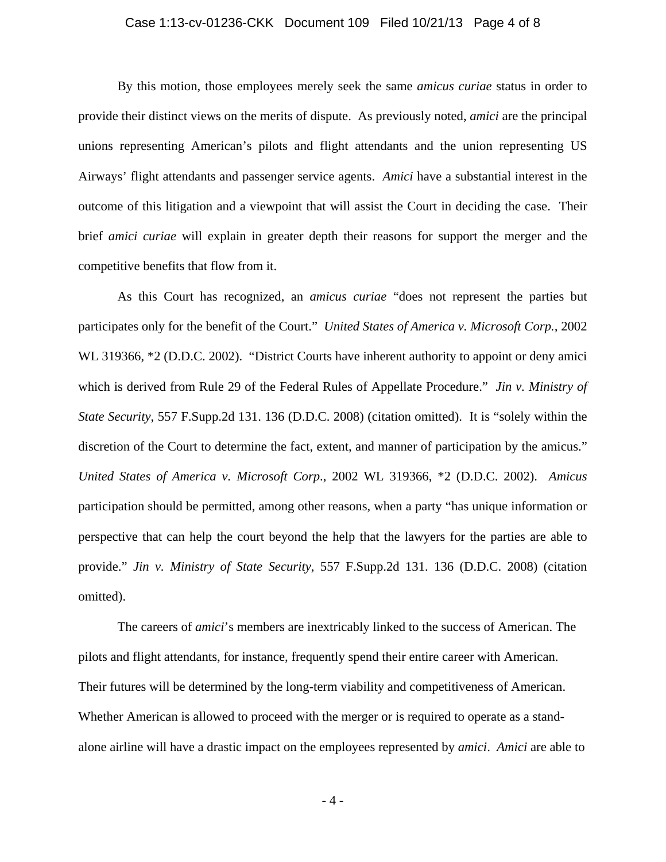#### Case 1:13-cv-01236-CKK Document 109 Filed 10/21/13 Page 4 of 8

 By this motion, those employees merely seek the same *amicus curiae* status in order to provide their distinct views on the merits of dispute. As previously noted, *amici* are the principal unions representing American's pilots and flight attendants and the union representing US Airways' flight attendants and passenger service agents. *Amici* have a substantial interest in the outcome of this litigation and a viewpoint that will assist the Court in deciding the case. Their brief *amici curiae* will explain in greater depth their reasons for support the merger and the competitive benefits that flow from it.

 As this Court has recognized, an *amicus curiae* "does not represent the parties but participates only for the benefit of the Court." *United States of America v. Microsoft Corp.,* 2002 WL 319366,  $*2$  (D.D.C. 2002). "District Courts have inherent authority to appoint or deny amici which is derived from Rule 29 of the Federal Rules of Appellate Procedure." *Jin v. Ministry of State Security*, 557 F.Supp.2d 131. 136 (D.D.C. 2008) (citation omitted). It is "solely within the discretion of the Court to determine the fact, extent, and manner of participation by the amicus." *United States of America v. Microsoft Corp*., 2002 WL 319366, \*2 (D.D.C. 2002). *Amicus* participation should be permitted, among other reasons, when a party "has unique information or perspective that can help the court beyond the help that the lawyers for the parties are able to provide." *Jin v. Ministry of State Security*, 557 F.Supp.2d 131. 136 (D.D.C. 2008) (citation omitted).

 The careers of *amici*'s members are inextricably linked to the success of American. The pilots and flight attendants, for instance, frequently spend their entire career with American. Their futures will be determined by the long-term viability and competitiveness of American. Whether American is allowed to proceed with the merger or is required to operate as a standalone airline will have a drastic impact on the employees represented by *amici*. *Amici* are able to

- 4 -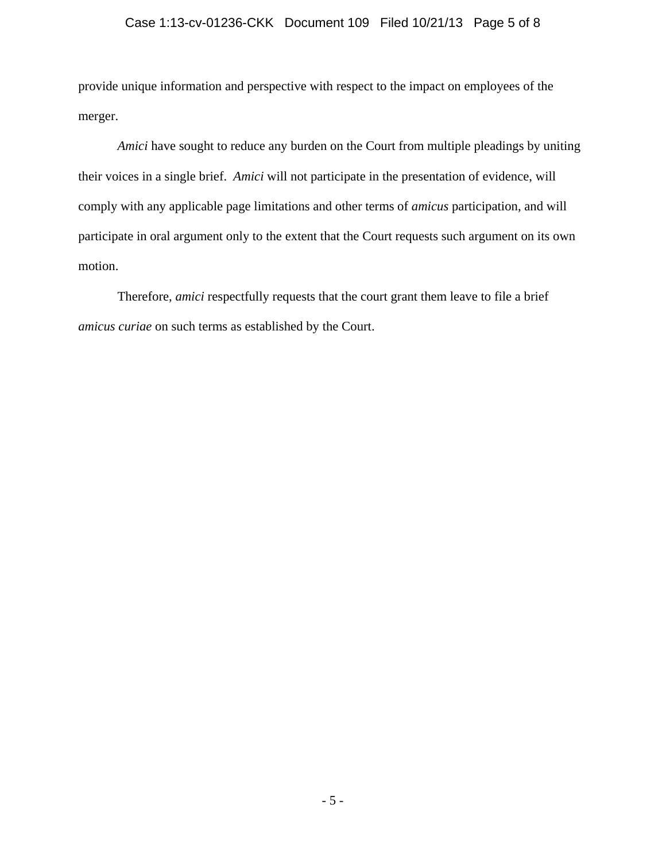## Case 1:13-cv-01236-CKK Document 109 Filed 10/21/13 Page 5 of 8

provide unique information and perspective with respect to the impact on employees of the merger.

*Amici* have sought to reduce any burden on the Court from multiple pleadings by uniting their voices in a single brief. *Amici* will not participate in the presentation of evidence, will comply with any applicable page limitations and other terms of *amicus* participation, and will participate in oral argument only to the extent that the Court requests such argument on its own motion.

 Therefore, *amici* respectfully requests that the court grant them leave to file a brief *amicus curiae* on such terms as established by the Court.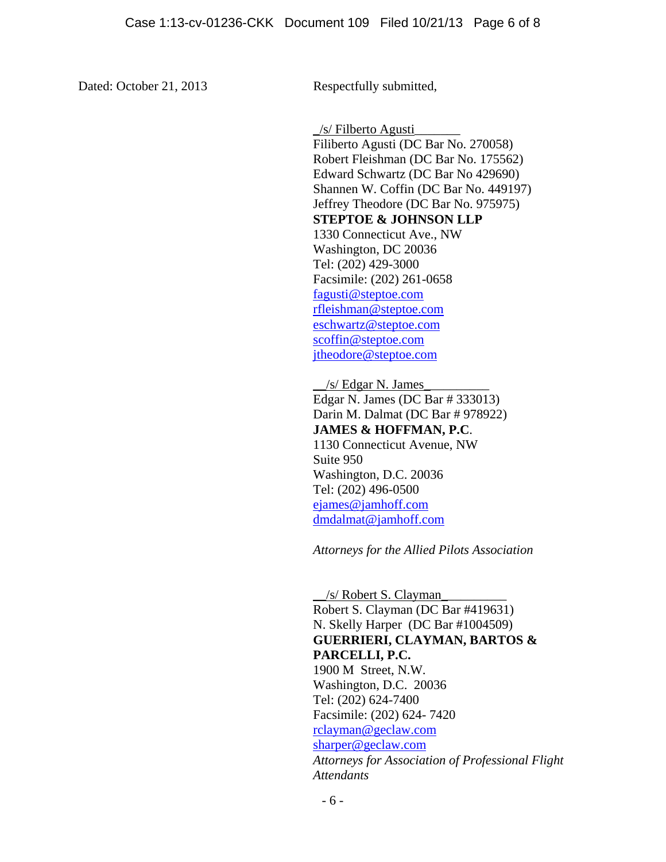Dated: October 21, 2013 Respectfully submitted,

 $/s$  Filberto Agusti Filiberto Agusti (DC Bar No. 270058) Robert Fleishman (DC Bar No. 175562) Edward Schwartz (DC Bar No 429690) Shannen W. Coffin (DC Bar No. 449197) Jeffrey Theodore (DC Bar No. 975975) **STEPTOE & JOHNSON LLP**  1330 Connecticut Ave., NW Washington, DC 20036 Tel: (202) 429-3000 Facsimile: (202) 261-0658 fagusti@steptoe.com rfleishman@steptoe.com eschwartz@steptoe.com scoffin@steptoe.com jtheodore@steptoe.com

 $/s/$  Edgar N. James Edgar N. James (DC Bar # 333013) Darin M. Dalmat (DC Bar # 978922) **JAMES & HOFFMAN, P.C**. 1130 Connecticut Avenue, NW Suite 950 Washington, D.C. 20036 Tel: (202) 496-0500 ejames@jamhoff.com dmdalmat@jamhoff.com

*Attorneys for the Allied Pilots Association* 

\_\_/s/ Robert S. Clayman\_\_\_\_\_\_\_\_\_\_ Robert S. Clayman (DC Bar #419631) N. Skelly Harper (DC Bar #1004509) **GUERRIERI, CLAYMAN, BARTOS & PARCELLI, P.C.**  1900 M Street, N.W. Washington, D.C. 20036 Tel: (202) 624-7400 Facsimile: (202) 624- 7420 rclayman@geclaw.com sharper@geclaw.com *Attorneys for Association of Professional Flight Attendants*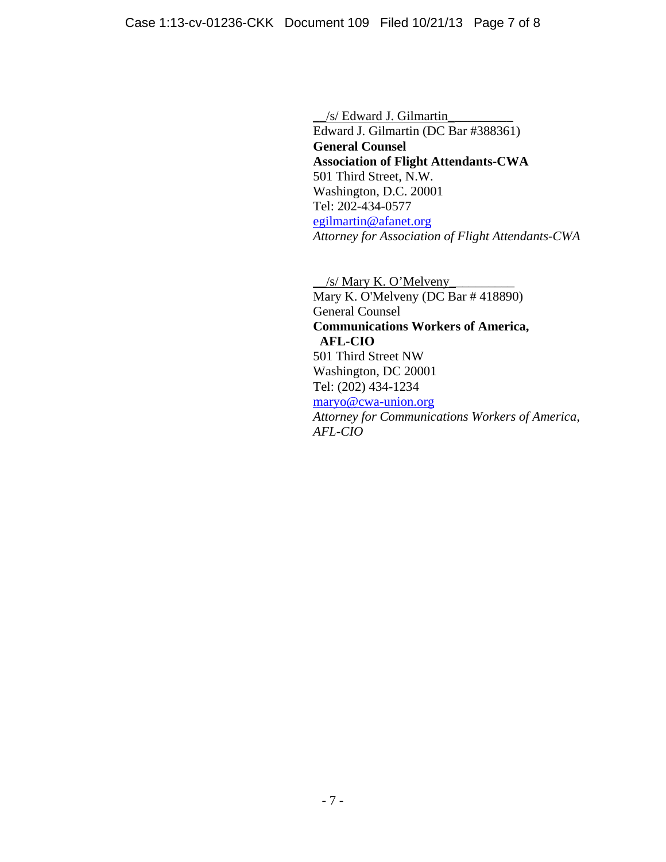\_\_/s/ Edward J. Gilmartin\_\_\_\_\_\_\_\_\_\_ Edward J. Gilmartin (DC Bar #388361) **General Counsel Association of Flight Attendants-CWA**  501 Third Street, N.W. Washington, D.C. 20001 Tel: 202-434-0577 egilmartin@afanet.org *Attorney for Association of Flight Attendants-CWA* 

 $\angle$ /s/ Mary K. O'Melveny Mary K. O'Melveny (DC Bar # 418890) General Counsel **Communications Workers of America, AFL-CIO**  501 Third Street NW Washington, DC 20001 Tel: (202) 434-1234 maryo@cwa-union.org *Attorney for Communications Workers of America, AFL-CIO*